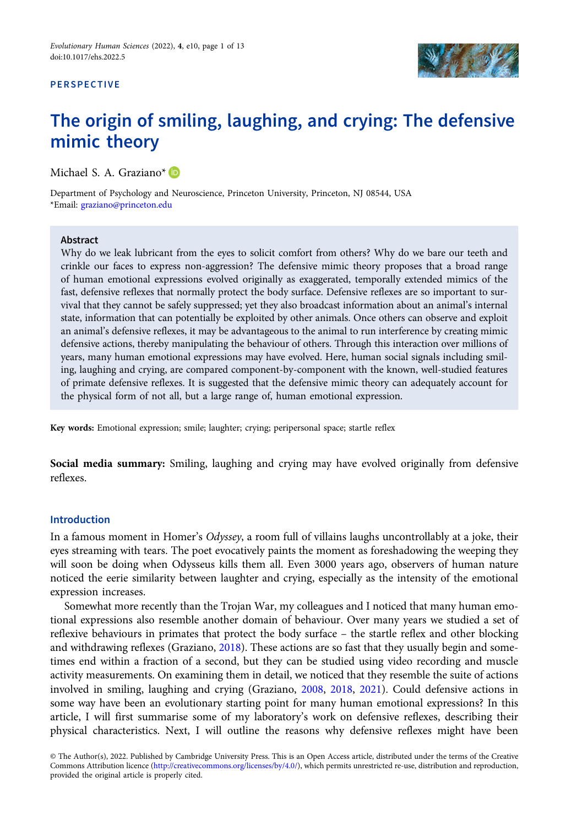# **PERSPECTIVE**



# The origin of smiling, laughing, and crying: The defensive mimic theory

Michael S. A. Graziano\* ID

Department of Psychology and Neuroscience, Princeton University, Princeton, NJ 08544, USA \*Email: [graziano@princeton.edu](mailto:graziano@princeton.edu)

#### Abstract

Why do we leak lubricant from the eyes to solicit comfort from others? Why do we bare our teeth and crinkle our faces to express non-aggression? The defensive mimic theory proposes that a broad range of human emotional expressions evolved originally as exaggerated, temporally extended mimics of the fast, defensive reflexes that normally protect the body surface. Defensive reflexes are so important to survival that they cannot be safely suppressed; yet they also broadcast information about an animal's internal state, information that can potentially be exploited by other animals. Once others can observe and exploit an animal's defensive reflexes, it may be advantageous to the animal to run interference by creating mimic defensive actions, thereby manipulating the behaviour of others. Through this interaction over millions of years, many human emotional expressions may have evolved. Here, human social signals including smiling, laughing and crying, are compared component-by-component with the known, well-studied features of primate defensive reflexes. It is suggested that the defensive mimic theory can adequately account for the physical form of not all, but a large range of, human emotional expression.

Key words: Emotional expression; smile; laughter; crying; peripersonal space; startle reflex

Social media summary: Smiling, laughing and crying may have evolved originally from defensive reflexes.

# Introduction

In a famous moment in Homer's Odyssey, a room full of villains laughs uncontrollably at a joke, their eyes streaming with tears. The poet evocatively paints the moment as foreshadowing the weeping they will soon be doing when Odysseus kills them all. Even 3000 years ago, observers of human nature noticed the eerie similarity between laughter and crying, especially as the intensity of the emotional expression increases.

Somewhat more recently than the Trojan War, my colleagues and I noticed that many human emotional expressions also resemble another domain of behaviour. Over many years we studied a set of reflexive behaviours in primates that protect the body surface – the startle reflex and other blocking and withdrawing reflexes (Graziano, [2018](#page-11-0)). These actions are so fast that they usually begin and sometimes end within a fraction of a second, but they can be studied using video recording and muscle activity measurements. On examining them in detail, we noticed that they resemble the suite of actions involved in smiling, laughing and crying (Graziano, [2008](#page-11-0), [2018,](#page-11-0) [2021\)](#page-11-0). Could defensive actions in some way have been an evolutionary starting point for many human emotional expressions? In this article, I will first summarise some of my laboratory's work on defensive reflexes, describing their physical characteristics. Next, I will outline the reasons why defensive reflexes might have been

<sup>©</sup> The Author(s), 2022. Published by Cambridge University Press. This is an Open Access article, distributed under the terms of the Creative Commons Attribution licence [\(http://creativecommons.org/licenses/by/4.0/](http://creativecommons.org/licenses/by/4.0/)), which permits unrestricted re-use, distribution and reproduction, provided the original article is properly cited.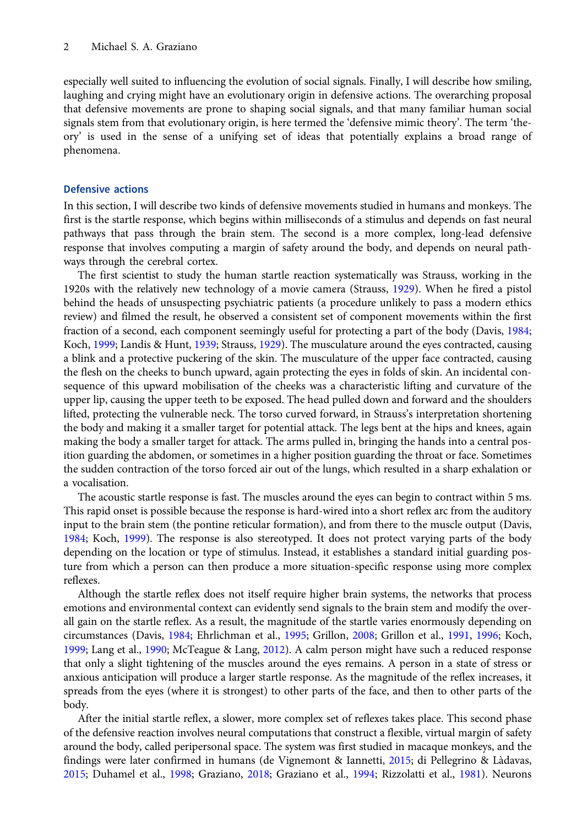especially well suited to influencing the evolution of social signals. Finally, I will describe how smiling, laughing and crying might have an evolutionary origin in defensive actions. The overarching proposal that defensive movements are prone to shaping social signals, and that many familiar human social signals stem from that evolutionary origin, is here termed the 'defensive mimic theory'. The term 'theory' is used in the sense of a unifying set of ideas that potentially explains a broad range of phenomena.

# Defensive actions

In this section, I will describe two kinds of defensive movements studied in humans and monkeys. The first is the startle response, which begins within milliseconds of a stimulus and depends on fast neural pathways that pass through the brain stem. The second is a more complex, long-lead defensive response that involves computing a margin of safety around the body, and depends on neural pathways through the cerebral cortex.

The first scientist to study the human startle reaction systematically was Strauss, working in the 1920s with the relatively new technology of a movie camera (Strauss, [1929](#page-12-0)). When he fired a pistol behind the heads of unsuspecting psychiatric patients (a procedure unlikely to pass a modern ethics review) and filmed the result, he observed a consistent set of component movements within the first fraction of a second, each component seemingly useful for protecting a part of the body (Davis, [1984;](#page-10-0) Koch, [1999;](#page-11-0) Landis & Hunt, [1939](#page-11-0); Strauss, [1929](#page-12-0)). The musculature around the eyes contracted, causing a blink and a protective puckering of the skin. The musculature of the upper face contracted, causing the flesh on the cheeks to bunch upward, again protecting the eyes in folds of skin. An incidental consequence of this upward mobilisation of the cheeks was a characteristic lifting and curvature of the upper lip, causing the upper teeth to be exposed. The head pulled down and forward and the shoulders lifted, protecting the vulnerable neck. The torso curved forward, in Strauss's interpretation shortening the body and making it a smaller target for potential attack. The legs bent at the hips and knees, again making the body a smaller target for attack. The arms pulled in, bringing the hands into a central position guarding the abdomen, or sometimes in a higher position guarding the throat or face. Sometimes the sudden contraction of the torso forced air out of the lungs, which resulted in a sharp exhalation or a vocalisation.

The acoustic startle response is fast. The muscles around the eyes can begin to contract within 5 ms. This rapid onset is possible because the response is hard-wired into a short reflex arc from the auditory input to the brain stem (the pontine reticular formation), and from there to the muscle output (Davis, [1984;](#page-10-0) Koch, [1999\)](#page-11-0). The response is also stereotyped. It does not protect varying parts of the body depending on the location or type of stimulus. Instead, it establishes a standard initial guarding posture from which a person can then produce a more situation-specific response using more complex reflexes.

Although the startle reflex does not itself require higher brain systems, the networks that process emotions and environmental context can evidently send signals to the brain stem and modify the overall gain on the startle reflex. As a result, the magnitude of the startle varies enormously depending on circumstances (Davis, [1984](#page-10-0); Ehrlichman et al., [1995;](#page-11-0) Grillon, [2008;](#page-11-0) Grillon et al., [1991](#page-11-0), [1996](#page-11-0); Koch, [1999;](#page-11-0) Lang et al., [1990](#page-12-0); McTeague & Lang, [2012\)](#page-12-0). A calm person might have such a reduced response that only a slight tightening of the muscles around the eyes remains. A person in a state of stress or anxious anticipation will produce a larger startle response. As the magnitude of the reflex increases, it spreads from the eyes (where it is strongest) to other parts of the face, and then to other parts of the body.

After the initial startle reflex, a slower, more complex set of reflexes takes place. This second phase of the defensive reaction involves neural computations that construct a flexible, virtual margin of safety around the body, called peripersonal space. The system was first studied in macaque monkeys, and the findings were later confirmed in humans (de Vignemont & Iannetti, [2015](#page-10-0); di Pellegrino & Làdavas, [2015;](#page-11-0) Duhamel et al., [1998](#page-11-0); Graziano, [2018](#page-11-0); Graziano et al., [1994;](#page-11-0) Rizzolatti et al., [1981](#page-12-0)). Neurons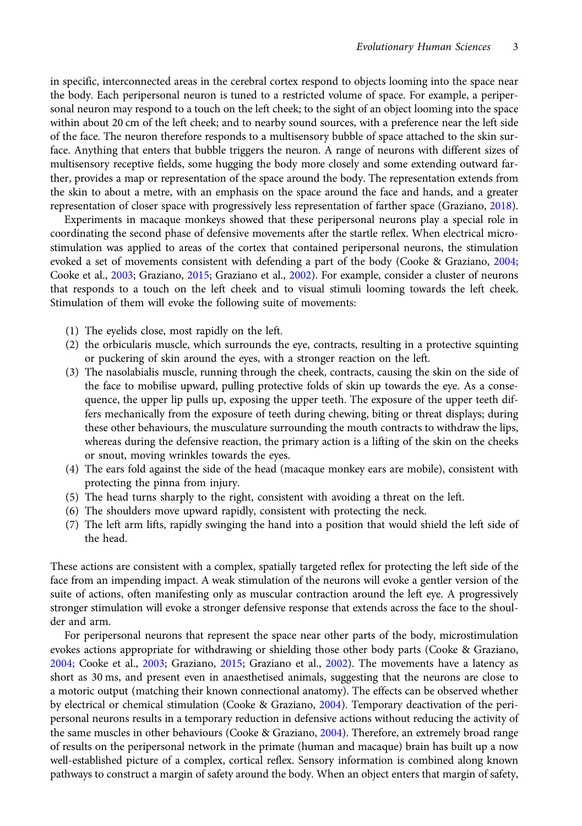in specific, interconnected areas in the cerebral cortex respond to objects looming into the space near the body. Each peripersonal neuron is tuned to a restricted volume of space. For example, a peripersonal neuron may respond to a touch on the left cheek; to the sight of an object looming into the space within about 20 cm of the left cheek; and to nearby sound sources, with a preference near the left side of the face. The neuron therefore responds to a multisensory bubble of space attached to the skin surface. Anything that enters that bubble triggers the neuron. A range of neurons with different sizes of multisensory receptive fields, some hugging the body more closely and some extending outward farther, provides a map or representation of the space around the body. The representation extends from the skin to about a metre, with an emphasis on the space around the face and hands, and a greater representation of closer space with progressively less representation of farther space (Graziano, [2018\)](#page-11-0).

Experiments in macaque monkeys showed that these peripersonal neurons play a special role in coordinating the second phase of defensive movements after the startle reflex. When electrical microstimulation was applied to areas of the cortex that contained peripersonal neurons, the stimulation evoked a set of movements consistent with defending a part of the body (Cooke & Graziano, [2004](#page-10-0); Cooke et al., [2003;](#page-10-0) Graziano, [2015](#page-11-0); Graziano et al., [2002\)](#page-11-0). For example, consider a cluster of neurons that responds to a touch on the left cheek and to visual stimuli looming towards the left cheek. Stimulation of them will evoke the following suite of movements:

- (1) The eyelids close, most rapidly on the left.
- (2) the orbicularis muscle, which surrounds the eye, contracts, resulting in a protective squinting or puckering of skin around the eyes, with a stronger reaction on the left.
- (3) The nasolabialis muscle, running through the cheek, contracts, causing the skin on the side of the face to mobilise upward, pulling protective folds of skin up towards the eye. As a consequence, the upper lip pulls up, exposing the upper teeth. The exposure of the upper teeth differs mechanically from the exposure of teeth during chewing, biting or threat displays; during these other behaviours, the musculature surrounding the mouth contracts to withdraw the lips, whereas during the defensive reaction, the primary action is a lifting of the skin on the cheeks or snout, moving wrinkles towards the eyes.
- (4) The ears fold against the side of the head (macaque monkey ears are mobile), consistent with protecting the pinna from injury.
- (5) The head turns sharply to the right, consistent with avoiding a threat on the left.
- (6) The shoulders move upward rapidly, consistent with protecting the neck.
- (7) The left arm lifts, rapidly swinging the hand into a position that would shield the left side of the head.

These actions are consistent with a complex, spatially targeted reflex for protecting the left side of the face from an impending impact. A weak stimulation of the neurons will evoke a gentler version of the suite of actions, often manifesting only as muscular contraction around the left eye. A progressively stronger stimulation will evoke a stronger defensive response that extends across the face to the shoulder and arm.

For peripersonal neurons that represent the space near other parts of the body, microstimulation evokes actions appropriate for withdrawing or shielding those other body parts (Cooke & Graziano, [2004](#page-10-0); Cooke et al., [2003;](#page-10-0) Graziano, [2015;](#page-11-0) Graziano et al., [2002\)](#page-11-0). The movements have a latency as short as 30 ms, and present even in anaesthetised animals, suggesting that the neurons are close to a motoric output (matching their known connectional anatomy). The effects can be observed whether by electrical or chemical stimulation (Cooke & Graziano, [2004](#page-10-0)). Temporary deactivation of the peripersonal neurons results in a temporary reduction in defensive actions without reducing the activity of the same muscles in other behaviours (Cooke & Graziano, [2004](#page-10-0)). Therefore, an extremely broad range of results on the peripersonal network in the primate (human and macaque) brain has built up a now well-established picture of a complex, cortical reflex. Sensory information is combined along known pathways to construct a margin of safety around the body. When an object enters that margin of safety,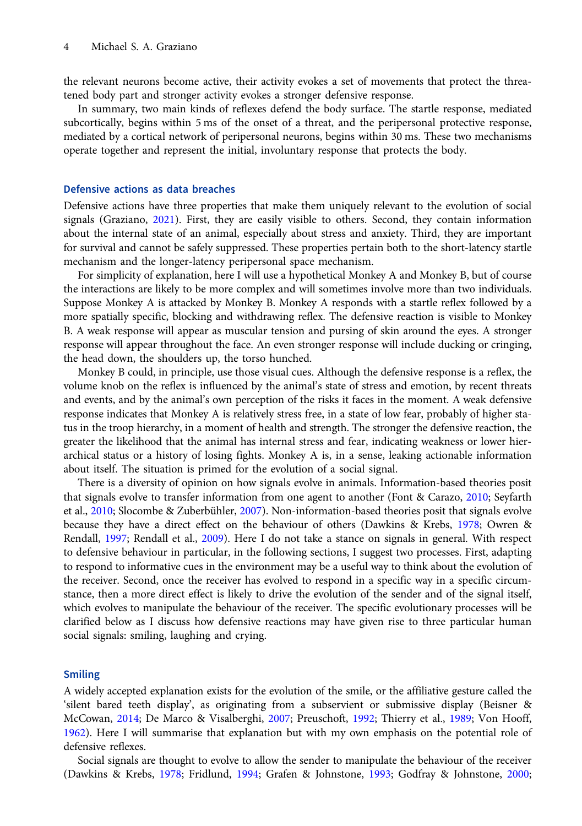the relevant neurons become active, their activity evokes a set of movements that protect the threatened body part and stronger activity evokes a stronger defensive response.

In summary, two main kinds of reflexes defend the body surface. The startle response, mediated subcortically, begins within 5 ms of the onset of a threat, and the peripersonal protective response, mediated by a cortical network of peripersonal neurons, begins within 30 ms. These two mechanisms operate together and represent the initial, involuntary response that protects the body.

# Defensive actions as data breaches

Defensive actions have three properties that make them uniquely relevant to the evolution of social signals (Graziano, [2021](#page-11-0)). First, they are easily visible to others. Second, they contain information about the internal state of an animal, especially about stress and anxiety. Third, they are important for survival and cannot be safely suppressed. These properties pertain both to the short-latency startle mechanism and the longer-latency peripersonal space mechanism.

For simplicity of explanation, here I will use a hypothetical Monkey A and Monkey B, but of course the interactions are likely to be more complex and will sometimes involve more than two individuals. Suppose Monkey A is attacked by Monkey B. Monkey A responds with a startle reflex followed by a more spatially specific, blocking and withdrawing reflex. The defensive reaction is visible to Monkey B. A weak response will appear as muscular tension and pursing of skin around the eyes. A stronger response will appear throughout the face. An even stronger response will include ducking or cringing, the head down, the shoulders up, the torso hunched.

Monkey B could, in principle, use those visual cues. Although the defensive response is a reflex, the volume knob on the reflex is influenced by the animal's state of stress and emotion, by recent threats and events, and by the animal's own perception of the risks it faces in the moment. A weak defensive response indicates that Monkey A is relatively stress free, in a state of low fear, probably of higher status in the troop hierarchy, in a moment of health and strength. The stronger the defensive reaction, the greater the likelihood that the animal has internal stress and fear, indicating weakness or lower hierarchical status or a history of losing fights. Monkey A is, in a sense, leaking actionable information about itself. The situation is primed for the evolution of a social signal.

There is a diversity of opinion on how signals evolve in animals. Information-based theories posit that signals evolve to transfer information from one agent to another (Font & Carazo, [2010;](#page-11-0) Seyfarth et al., [2010;](#page-12-0) Slocombe & Zuberbühler, [2007](#page-12-0)). Non-information-based theories posit that signals evolve because they have a direct effect on the behaviour of others (Dawkins & Krebs, [1978](#page-10-0); Owren & Rendall, [1997;](#page-12-0) Rendall et al., [2009\)](#page-12-0). Here I do not take a stance on signals in general. With respect to defensive behaviour in particular, in the following sections, I suggest two processes. First, adapting to respond to informative cues in the environment may be a useful way to think about the evolution of the receiver. Second, once the receiver has evolved to respond in a specific way in a specific circumstance, then a more direct effect is likely to drive the evolution of the sender and of the signal itself, which evolves to manipulate the behaviour of the receiver. The specific evolutionary processes will be clarified below as I discuss how defensive reactions may have given rise to three particular human social signals: smiling, laughing and crying.

#### Smiling

A widely accepted explanation exists for the evolution of the smile, or the affiliative gesture called the 'silent bared teeth display', as originating from a subservient or submissive display (Beisner & McCowan, [2014;](#page-10-0) De Marco & Visalberghi, [2007](#page-10-0); Preuschoft, [1992;](#page-12-0) Thierry et al., [1989;](#page-12-0) Von Hooff, [1962\)](#page-12-0). Here I will summarise that explanation but with my own emphasis on the potential role of defensive reflexes.

Social signals are thought to evolve to allow the sender to manipulate the behaviour of the receiver (Dawkins & Krebs, [1978;](#page-10-0) Fridlund, [1994](#page-11-0); Grafen & Johnstone, [1993](#page-11-0); Godfray & Johnstone, [2000;](#page-11-0)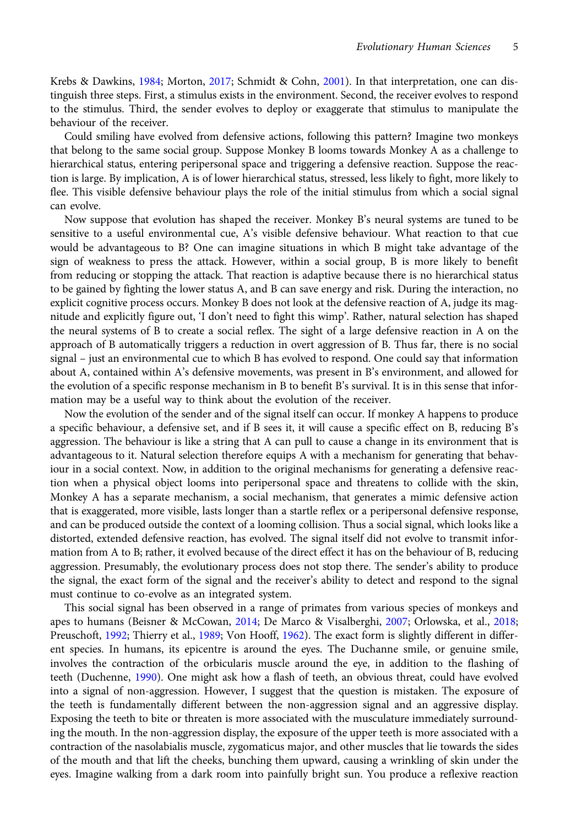Krebs & Dawkins, [1984](#page-11-0); Morton, [2017;](#page-12-0) Schmidt & Cohn, [2001\)](#page-12-0). In that interpretation, one can distinguish three steps. First, a stimulus exists in the environment. Second, the receiver evolves to respond to the stimulus. Third, the sender evolves to deploy or exaggerate that stimulus to manipulate the behaviour of the receiver.

Could smiling have evolved from defensive actions, following this pattern? Imagine two monkeys that belong to the same social group. Suppose Monkey B looms towards Monkey A as a challenge to hierarchical status, entering peripersonal space and triggering a defensive reaction. Suppose the reaction is large. By implication, A is of lower hierarchical status, stressed, less likely to fight, more likely to flee. This visible defensive behaviour plays the role of the initial stimulus from which a social signal can evolve.

Now suppose that evolution has shaped the receiver. Monkey B's neural systems are tuned to be sensitive to a useful environmental cue, A's visible defensive behaviour. What reaction to that cue would be advantageous to B? One can imagine situations in which B might take advantage of the sign of weakness to press the attack. However, within a social group, B is more likely to benefit from reducing or stopping the attack. That reaction is adaptive because there is no hierarchical status to be gained by fighting the lower status A, and B can save energy and risk. During the interaction, no explicit cognitive process occurs. Monkey B does not look at the defensive reaction of A, judge its magnitude and explicitly figure out, 'I don't need to fight this wimp'. Rather, natural selection has shaped the neural systems of B to create a social reflex. The sight of a large defensive reaction in A on the approach of B automatically triggers a reduction in overt aggression of B. Thus far, there is no social signal – just an environmental cue to which B has evolved to respond. One could say that information about A, contained within A's defensive movements, was present in B's environment, and allowed for the evolution of a specific response mechanism in B to benefit B's survival. It is in this sense that information may be a useful way to think about the evolution of the receiver.

Now the evolution of the sender and of the signal itself can occur. If monkey A happens to produce a specific behaviour, a defensive set, and if B sees it, it will cause a specific effect on B, reducing B's aggression. The behaviour is like a string that A can pull to cause a change in its environment that is advantageous to it. Natural selection therefore equips A with a mechanism for generating that behaviour in a social context. Now, in addition to the original mechanisms for generating a defensive reaction when a physical object looms into peripersonal space and threatens to collide with the skin, Monkey A has a separate mechanism, a social mechanism, that generates a mimic defensive action that is exaggerated, more visible, lasts longer than a startle reflex or a peripersonal defensive response, and can be produced outside the context of a looming collision. Thus a social signal, which looks like a distorted, extended defensive reaction, has evolved. The signal itself did not evolve to transmit information from A to B; rather, it evolved because of the direct effect it has on the behaviour of B, reducing aggression. Presumably, the evolutionary process does not stop there. The sender's ability to produce the signal, the exact form of the signal and the receiver's ability to detect and respond to the signal must continue to co-evolve as an integrated system.

This social signal has been observed in a range of primates from various species of monkeys and apes to humans (Beisner & McCowan, [2014](#page-10-0); De Marco & Visalberghi, [2007;](#page-10-0) Orlowska, et al., [2018](#page-12-0); Preuschoft, [1992;](#page-12-0) Thierry et al., [1989;](#page-12-0) Von Hooff, [1962\)](#page-12-0). The exact form is slightly different in different species. In humans, its epicentre is around the eyes. The Duchanne smile, or genuine smile, involves the contraction of the orbicularis muscle around the eye, in addition to the flashing of teeth (Duchenne, [1990\)](#page-11-0). One might ask how a flash of teeth, an obvious threat, could have evolved into a signal of non-aggression. However, I suggest that the question is mistaken. The exposure of the teeth is fundamentally different between the non-aggression signal and an aggressive display. Exposing the teeth to bite or threaten is more associated with the musculature immediately surrounding the mouth. In the non-aggression display, the exposure of the upper teeth is more associated with a contraction of the nasolabialis muscle, zygomaticus major, and other muscles that lie towards the sides of the mouth and that lift the cheeks, bunching them upward, causing a wrinkling of skin under the eyes. Imagine walking from a dark room into painfully bright sun. You produce a reflexive reaction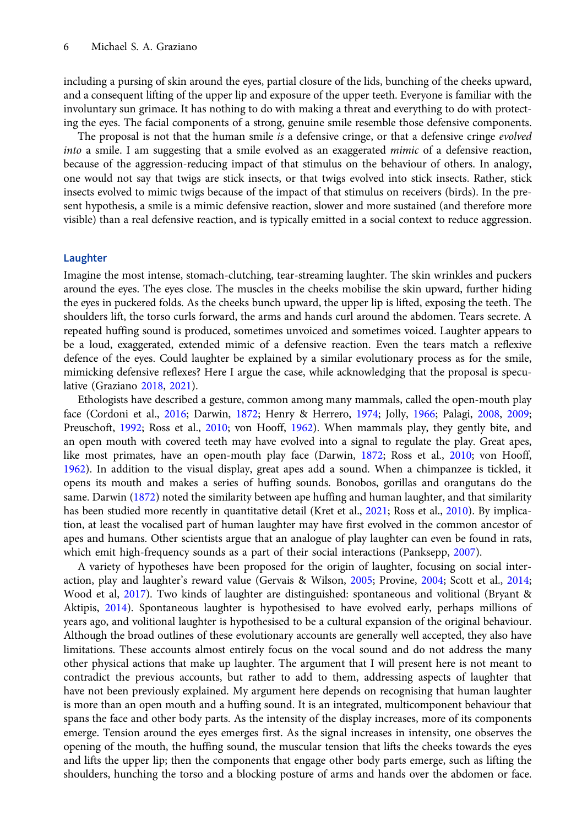including a pursing of skin around the eyes, partial closure of the lids, bunching of the cheeks upward, and a consequent lifting of the upper lip and exposure of the upper teeth. Everyone is familiar with the involuntary sun grimace. It has nothing to do with making a threat and everything to do with protecting the eyes. The facial components of a strong, genuine smile resemble those defensive components.

The proposal is not that the human smile is a defensive cringe, or that a defensive cringe evolved into a smile. I am suggesting that a smile evolved as an exaggerated mimic of a defensive reaction, because of the aggression-reducing impact of that stimulus on the behaviour of others. In analogy, one would not say that twigs are stick insects, or that twigs evolved into stick insects. Rather, stick insects evolved to mimic twigs because of the impact of that stimulus on receivers (birds). In the present hypothesis, a smile is a mimic defensive reaction, slower and more sustained (and therefore more visible) than a real defensive reaction, and is typically emitted in a social context to reduce aggression.

#### Laughter

Imagine the most intense, stomach-clutching, tear-streaming laughter. The skin wrinkles and puckers around the eyes. The eyes close. The muscles in the cheeks mobilise the skin upward, further hiding the eyes in puckered folds. As the cheeks bunch upward, the upper lip is lifted, exposing the teeth. The shoulders lift, the torso curls forward, the arms and hands curl around the abdomen. Tears secrete. A repeated huffing sound is produced, sometimes unvoiced and sometimes voiced. Laughter appears to be a loud, exaggerated, extended mimic of a defensive reaction. Even the tears match a reflexive defence of the eyes. Could laughter be explained by a similar evolutionary process as for the smile, mimicking defensive reflexes? Here I argue the case, while acknowledging that the proposal is speculative (Graziano [2018](#page-11-0), [2021](#page-11-0)).

Ethologists have described a gesture, common among many mammals, called the open-mouth play face (Cordoni et al., [2016;](#page-10-0) Darwin, [1872;](#page-10-0) Henry & Herrero, [1974;](#page-11-0) Jolly, [1966](#page-11-0); Palagi, [2008,](#page-12-0) [2009;](#page-12-0) Preuschoft, [1992](#page-12-0); Ross et al., [2010;](#page-12-0) von Hooff, [1962](#page-12-0)). When mammals play, they gently bite, and an open mouth with covered teeth may have evolved into a signal to regulate the play. Great apes, like most primates, have an open-mouth play face (Darwin, [1872;](#page-10-0) Ross et al., [2010;](#page-12-0) von Hooff, [1962\)](#page-12-0). In addition to the visual display, great apes add a sound. When a chimpanzee is tickled, it opens its mouth and makes a series of huffing sounds. Bonobos, gorillas and orangutans do the same. Darwin [\(1872\)](#page-10-0) noted the similarity between ape huffing and human laughter, and that similarity has been studied more recently in quantitative detail (Kret et al., [2021;](#page-11-0) Ross et al., [2010\)](#page-12-0). By implication, at least the vocalised part of human laughter may have first evolved in the common ancestor of apes and humans. Other scientists argue that an analogue of play laughter can even be found in rats, which emit high-frequency sounds as a part of their social interactions (Panksepp, [2007](#page-12-0)).

A variety of hypotheses have been proposed for the origin of laughter, focusing on social interaction, play and laughter's reward value (Gervais & Wilson, [2005;](#page-11-0) Provine, [2004;](#page-12-0) Scott et al., [2014;](#page-12-0) Wood et al, [2017\)](#page-12-0). Two kinds of laughter are distinguished: spontaneous and volitional (Bryant & Aktipis, [2014\)](#page-10-0). Spontaneous laughter is hypothesised to have evolved early, perhaps millions of years ago, and volitional laughter is hypothesised to be a cultural expansion of the original behaviour. Although the broad outlines of these evolutionary accounts are generally well accepted, they also have limitations. These accounts almost entirely focus on the vocal sound and do not address the many other physical actions that make up laughter. The argument that I will present here is not meant to contradict the previous accounts, but rather to add to them, addressing aspects of laughter that have not been previously explained. My argument here depends on recognising that human laughter is more than an open mouth and a huffing sound. It is an integrated, multicomponent behaviour that spans the face and other body parts. As the intensity of the display increases, more of its components emerge. Tension around the eyes emerges first. As the signal increases in intensity, one observes the opening of the mouth, the huffing sound, the muscular tension that lifts the cheeks towards the eyes and lifts the upper lip; then the components that engage other body parts emerge, such as lifting the shoulders, hunching the torso and a blocking posture of arms and hands over the abdomen or face.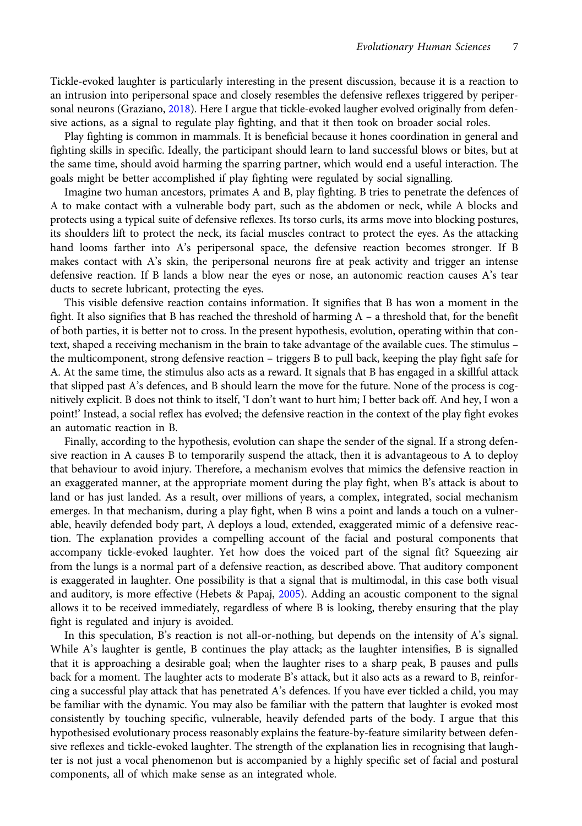Tickle-evoked laughter is particularly interesting in the present discussion, because it is a reaction to an intrusion into peripersonal space and closely resembles the defensive reflexes triggered by peripersonal neurons (Graziano, [2018](#page-11-0)). Here I argue that tickle-evoked laugher evolved originally from defensive actions, as a signal to regulate play fighting, and that it then took on broader social roles.

Play fighting is common in mammals. It is beneficial because it hones coordination in general and fighting skills in specific. Ideally, the participant should learn to land successful blows or bites, but at the same time, should avoid harming the sparring partner, which would end a useful interaction. The goals might be better accomplished if play fighting were regulated by social signalling.

Imagine two human ancestors, primates A and B, play fighting. B tries to penetrate the defences of A to make contact with a vulnerable body part, such as the abdomen or neck, while A blocks and protects using a typical suite of defensive reflexes. Its torso curls, its arms move into blocking postures, its shoulders lift to protect the neck, its facial muscles contract to protect the eyes. As the attacking hand looms farther into A's peripersonal space, the defensive reaction becomes stronger. If B makes contact with A's skin, the peripersonal neurons fire at peak activity and trigger an intense defensive reaction. If B lands a blow near the eyes or nose, an autonomic reaction causes A's tear ducts to secrete lubricant, protecting the eyes.

This visible defensive reaction contains information. It signifies that B has won a moment in the fight. It also signifies that B has reached the threshold of harming A – a threshold that, for the benefit of both parties, it is better not to cross. In the present hypothesis, evolution, operating within that context, shaped a receiving mechanism in the brain to take advantage of the available cues. The stimulus – the multicomponent, strong defensive reaction – triggers B to pull back, keeping the play fight safe for A. At the same time, the stimulus also acts as a reward. It signals that B has engaged in a skillful attack that slipped past A's defences, and B should learn the move for the future. None of the process is cognitively explicit. B does not think to itself, 'I don't want to hurt him; I better back off. And hey, I won a point!' Instead, a social reflex has evolved; the defensive reaction in the context of the play fight evokes an automatic reaction in B.

Finally, according to the hypothesis, evolution can shape the sender of the signal. If a strong defensive reaction in A causes B to temporarily suspend the attack, then it is advantageous to A to deploy that behaviour to avoid injury. Therefore, a mechanism evolves that mimics the defensive reaction in an exaggerated manner, at the appropriate moment during the play fight, when B's attack is about to land or has just landed. As a result, over millions of years, a complex, integrated, social mechanism emerges. In that mechanism, during a play fight, when B wins a point and lands a touch on a vulnerable, heavily defended body part, A deploys a loud, extended, exaggerated mimic of a defensive reaction. The explanation provides a compelling account of the facial and postural components that accompany tickle-evoked laughter. Yet how does the voiced part of the signal fit? Squeezing air from the lungs is a normal part of a defensive reaction, as described above. That auditory component is exaggerated in laughter. One possibility is that a signal that is multimodal, in this case both visual and auditory, is more effective (Hebets & Papaj, [2005\)](#page-11-0). Adding an acoustic component to the signal allows it to be received immediately, regardless of where B is looking, thereby ensuring that the play fight is regulated and injury is avoided.

In this speculation, B's reaction is not all-or-nothing, but depends on the intensity of A's signal. While A's laughter is gentle, B continues the play attack; as the laughter intensifies, B is signalled that it is approaching a desirable goal; when the laughter rises to a sharp peak, B pauses and pulls back for a moment. The laughter acts to moderate B's attack, but it also acts as a reward to B, reinforcing a successful play attack that has penetrated A's defences. If you have ever tickled a child, you may be familiar with the dynamic. You may also be familiar with the pattern that laughter is evoked most consistently by touching specific, vulnerable, heavily defended parts of the body. I argue that this hypothesised evolutionary process reasonably explains the feature-by-feature similarity between defensive reflexes and tickle-evoked laughter. The strength of the explanation lies in recognising that laughter is not just a vocal phenomenon but is accompanied by a highly specific set of facial and postural components, all of which make sense as an integrated whole.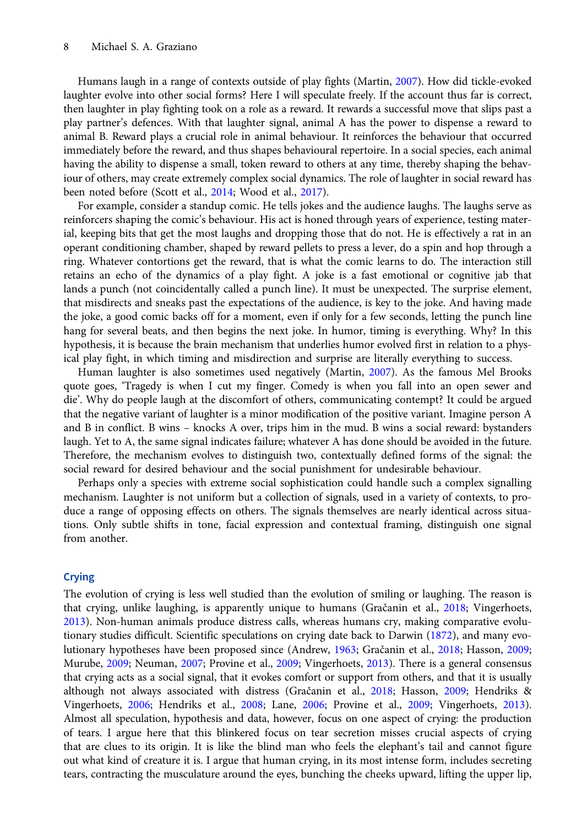Humans laugh in a range of contexts outside of play fights (Martin, [2007\)](#page-12-0). How did tickle-evoked laughter evolve into other social forms? Here I will speculate freely. If the account thus far is correct, then laughter in play fighting took on a role as a reward. It rewards a successful move that slips past a play partner's defences. With that laughter signal, animal A has the power to dispense a reward to animal B. Reward plays a crucial role in animal behaviour. It reinforces the behaviour that occurred immediately before the reward, and thus shapes behavioural repertoire. In a social species, each animal having the ability to dispense a small, token reward to others at any time, thereby shaping the behaviour of others, may create extremely complex social dynamics. The role of laughter in social reward has been noted before (Scott et al., [2014;](#page-12-0) Wood et al., [2017](#page-12-0)).

For example, consider a standup comic. He tells jokes and the audience laughs. The laughs serve as reinforcers shaping the comic's behaviour. His act is honed through years of experience, testing material, keeping bits that get the most laughs and dropping those that do not. He is effectively a rat in an operant conditioning chamber, shaped by reward pellets to press a lever, do a spin and hop through a ring. Whatever contortions get the reward, that is what the comic learns to do. The interaction still retains an echo of the dynamics of a play fight. A joke is a fast emotional or cognitive jab that lands a punch (not coincidentally called a punch line). It must be unexpected. The surprise element, that misdirects and sneaks past the expectations of the audience, is key to the joke. And having made the joke, a good comic backs off for a moment, even if only for a few seconds, letting the punch line hang for several beats, and then begins the next joke. In humor, timing is everything. Why? In this hypothesis, it is because the brain mechanism that underlies humor evolved first in relation to a physical play fight, in which timing and misdirection and surprise are literally everything to success.

Human laughter is also sometimes used negatively (Martin, [2007](#page-12-0)). As the famous Mel Brooks quote goes, 'Tragedy is when I cut my finger. Comedy is when you fall into an open sewer and die'. Why do people laugh at the discomfort of others, communicating contempt? It could be argued that the negative variant of laughter is a minor modification of the positive variant. Imagine person A and B in conflict. B wins – knocks A over, trips him in the mud. B wins a social reward: bystanders laugh. Yet to A, the same signal indicates failure; whatever A has done should be avoided in the future. Therefore, the mechanism evolves to distinguish two, contextually defined forms of the signal: the social reward for desired behaviour and the social punishment for undesirable behaviour.

Perhaps only a species with extreme social sophistication could handle such a complex signalling mechanism. Laughter is not uniform but a collection of signals, used in a variety of contexts, to produce a range of opposing effects on others. The signals themselves are nearly identical across situations. Only subtle shifts in tone, facial expression and contextual framing, distinguish one signal from another.

# Crying

The evolution of crying is less well studied than the evolution of smiling or laughing. The reason is that crying, unlike laughing, is apparently unique to humans (Gračanin et al., [2018;](#page-11-0) Vingerhoets, [2013\)](#page-12-0). Non-human animals produce distress calls, whereas humans cry, making comparative evolutionary studies difficult. Scientific speculations on crying date back to Darwin ([1872](#page-10-0)), and many evolutionary hypotheses have been proposed since (Andrew, [1963;](#page-10-0) Gračanin et al., [2018;](#page-11-0) Hasson, [2009;](#page-11-0) Murube, [2009](#page-12-0); Neuman, [2007](#page-12-0); Provine et al., 2009; Vingerhoets, [2013\)](#page-12-0). There is a general consensus that crying acts as a social signal, that it evokes comfort or support from others, and that it is usually although not always associated with distress (Gračanin et al., [2018](#page-11-0); Hasson, [2009](#page-11-0); Hendriks & Vingerhoets, [2006](#page-11-0); Hendriks et al., [2008](#page-11-0); Lane, [2006](#page-11-0); Provine et al., [2009](#page-12-0); Vingerhoets, [2013](#page-12-0)). Almost all speculation, hypothesis and data, however, focus on one aspect of crying: the production of tears. I argue here that this blinkered focus on tear secretion misses crucial aspects of crying that are clues to its origin. It is like the blind man who feels the elephant's tail and cannot figure out what kind of creature it is. I argue that human crying, in its most intense form, includes secreting tears, contracting the musculature around the eyes, bunching the cheeks upward, lifting the upper lip,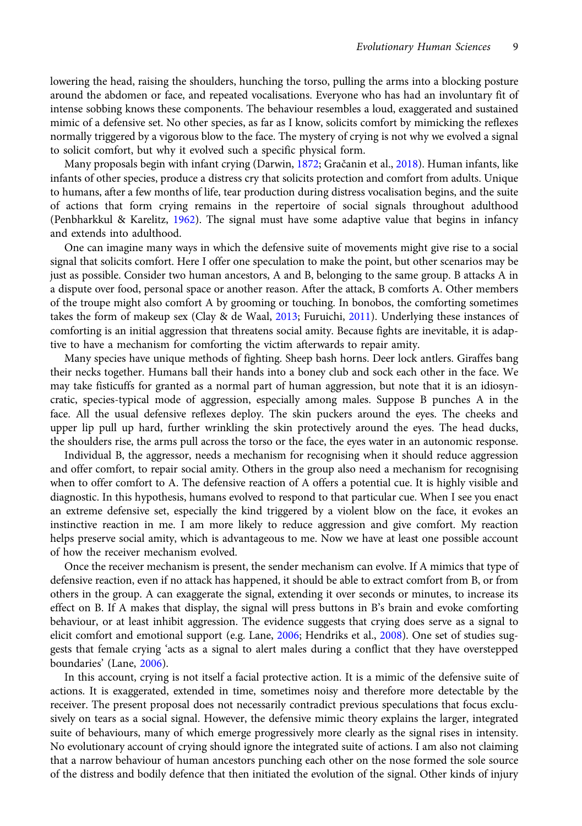lowering the head, raising the shoulders, hunching the torso, pulling the arms into a blocking posture around the abdomen or face, and repeated vocalisations. Everyone who has had an involuntary fit of intense sobbing knows these components. The behaviour resembles a loud, exaggerated and sustained mimic of a defensive set. No other species, as far as I know, solicits comfort by mimicking the reflexes normally triggered by a vigorous blow to the face. The mystery of crying is not why we evolved a signal to solicit comfort, but why it evolved such a specific physical form.

Many proposals begin with infant crying (Darwin, [1872](#page-10-0); Gračanin et al., [2018](#page-11-0)). Human infants, like infants of other species, produce a distress cry that solicits protection and comfort from adults. Unique to humans, after a few months of life, tear production during distress vocalisation begins, and the suite of actions that form crying remains in the repertoire of social signals throughout adulthood (Penbharkkul & Karelitz, [1962](#page-12-0)). The signal must have some adaptive value that begins in infancy and extends into adulthood.

One can imagine many ways in which the defensive suite of movements might give rise to a social signal that solicits comfort. Here I offer one speculation to make the point, but other scenarios may be just as possible. Consider two human ancestors, A and B, belonging to the same group. B attacks A in a dispute over food, personal space or another reason. After the attack, B comforts A. Other members of the troupe might also comfort A by grooming or touching. In bonobos, the comforting sometimes takes the form of makeup sex (Clay & de Waal, [2013](#page-10-0); Furuichi, [2011](#page-11-0)). Underlying these instances of comforting is an initial aggression that threatens social amity. Because fights are inevitable, it is adaptive to have a mechanism for comforting the victim afterwards to repair amity.

Many species have unique methods of fighting. Sheep bash horns. Deer lock antlers. Giraffes bang their necks together. Humans ball their hands into a boney club and sock each other in the face. We may take fisticuffs for granted as a normal part of human aggression, but note that it is an idiosyncratic, species-typical mode of aggression, especially among males. Suppose B punches A in the face. All the usual defensive reflexes deploy. The skin puckers around the eyes. The cheeks and upper lip pull up hard, further wrinkling the skin protectively around the eyes. The head ducks, the shoulders rise, the arms pull across the torso or the face, the eyes water in an autonomic response.

Individual B, the aggressor, needs a mechanism for recognising when it should reduce aggression and offer comfort, to repair social amity. Others in the group also need a mechanism for recognising when to offer comfort to A. The defensive reaction of A offers a potential cue. It is highly visible and diagnostic. In this hypothesis, humans evolved to respond to that particular cue. When I see you enact an extreme defensive set, especially the kind triggered by a violent blow on the face, it evokes an instinctive reaction in me. I am more likely to reduce aggression and give comfort. My reaction helps preserve social amity, which is advantageous to me. Now we have at least one possible account of how the receiver mechanism evolved.

Once the receiver mechanism is present, the sender mechanism can evolve. If A mimics that type of defensive reaction, even if no attack has happened, it should be able to extract comfort from B, or from others in the group. A can exaggerate the signal, extending it over seconds or minutes, to increase its effect on B. If A makes that display, the signal will press buttons in B's brain and evoke comforting behaviour, or at least inhibit aggression. The evidence suggests that crying does serve as a signal to elicit comfort and emotional support (e.g. Lane, [2006;](#page-11-0) Hendriks et al., [2008\)](#page-11-0). One set of studies suggests that female crying 'acts as a signal to alert males during a conflict that they have overstepped boundaries' (Lane, [2006](#page-11-0)).

In this account, crying is not itself a facial protective action. It is a mimic of the defensive suite of actions. It is exaggerated, extended in time, sometimes noisy and therefore more detectable by the receiver. The present proposal does not necessarily contradict previous speculations that focus exclusively on tears as a social signal. However, the defensive mimic theory explains the larger, integrated suite of behaviours, many of which emerge progressively more clearly as the signal rises in intensity. No evolutionary account of crying should ignore the integrated suite of actions. I am also not claiming that a narrow behaviour of human ancestors punching each other on the nose formed the sole source of the distress and bodily defence that then initiated the evolution of the signal. Other kinds of injury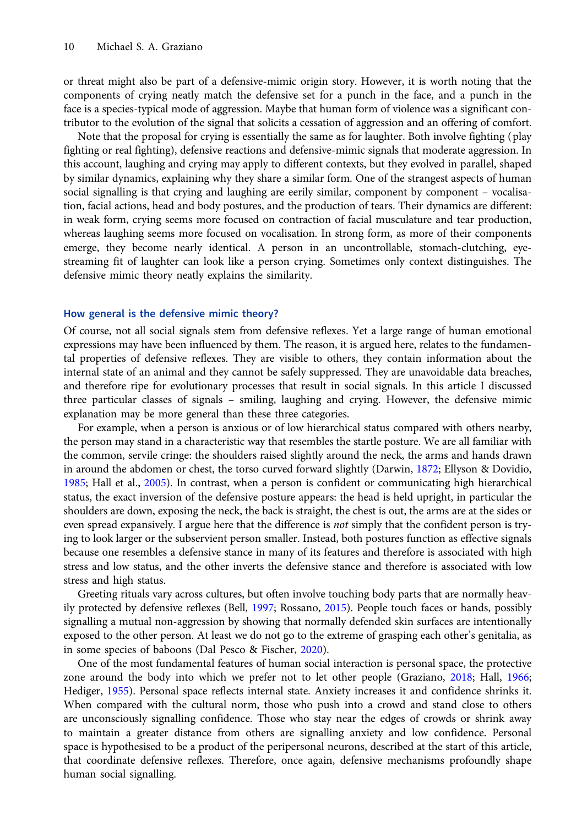or threat might also be part of a defensive-mimic origin story. However, it is worth noting that the components of crying neatly match the defensive set for a punch in the face, and a punch in the face is a species-typical mode of aggression. Maybe that human form of violence was a significant contributor to the evolution of the signal that solicits a cessation of aggression and an offering of comfort.

Note that the proposal for crying is essentially the same as for laughter. Both involve fighting (play fighting or real fighting), defensive reactions and defensive-mimic signals that moderate aggression. In this account, laughing and crying may apply to different contexts, but they evolved in parallel, shaped by similar dynamics, explaining why they share a similar form. One of the strangest aspects of human social signalling is that crying and laughing are eerily similar, component by component – vocalisation, facial actions, head and body postures, and the production of tears. Their dynamics are different: in weak form, crying seems more focused on contraction of facial musculature and tear production, whereas laughing seems more focused on vocalisation. In strong form, as more of their components emerge, they become nearly identical. A person in an uncontrollable, stomach-clutching, eyestreaming fit of laughter can look like a person crying. Sometimes only context distinguishes. The defensive mimic theory neatly explains the similarity.

#### How general is the defensive mimic theory?

Of course, not all social signals stem from defensive reflexes. Yet a large range of human emotional expressions may have been influenced by them. The reason, it is argued here, relates to the fundamental properties of defensive reflexes. They are visible to others, they contain information about the internal state of an animal and they cannot be safely suppressed. They are unavoidable data breaches, and therefore ripe for evolutionary processes that result in social signals. In this article I discussed three particular classes of signals – smiling, laughing and crying. However, the defensive mimic explanation may be more general than these three categories.

For example, when a person is anxious or of low hierarchical status compared with others nearby, the person may stand in a characteristic way that resembles the startle posture. We are all familiar with the common, servile cringe: the shoulders raised slightly around the neck, the arms and hands drawn in around the abdomen or chest, the torso curved forward slightly (Darwin, [1872;](#page-10-0) Ellyson & Dovidio, [1985;](#page-11-0) Hall et al., [2005\)](#page-11-0). In contrast, when a person is confident or communicating high hierarchical status, the exact inversion of the defensive posture appears: the head is held upright, in particular the shoulders are down, exposing the neck, the back is straight, the chest is out, the arms are at the sides or even spread expansively. I argue here that the difference is *not* simply that the confident person is trying to look larger or the subservient person smaller. Instead, both postures function as effective signals because one resembles a defensive stance in many of its features and therefore is associated with high stress and low status, and the other inverts the defensive stance and therefore is associated with low stress and high status.

Greeting rituals vary across cultures, but often involve touching body parts that are normally heavily protected by defensive reflexes (Bell, [1997](#page-10-0); Rossano, [2015\)](#page-12-0). People touch faces or hands, possibly signalling a mutual non-aggression by showing that normally defended skin surfaces are intentionally exposed to the other person. At least we do not go to the extreme of grasping each other's genitalia, as in some species of baboons (Dal Pesco & Fischer, [2020\)](#page-10-0).

One of the most fundamental features of human social interaction is personal space, the protective zone around the body into which we prefer not to let other people (Graziano, [2018](#page-11-0); Hall, [1966;](#page-11-0) Hediger, [1955](#page-11-0)). Personal space reflects internal state. Anxiety increases it and confidence shrinks it. When compared with the cultural norm, those who push into a crowd and stand close to others are unconsciously signalling confidence. Those who stay near the edges of crowds or shrink away to maintain a greater distance from others are signalling anxiety and low confidence. Personal space is hypothesised to be a product of the peripersonal neurons, described at the start of this article, that coordinate defensive reflexes. Therefore, once again, defensive mechanisms profoundly shape human social signalling.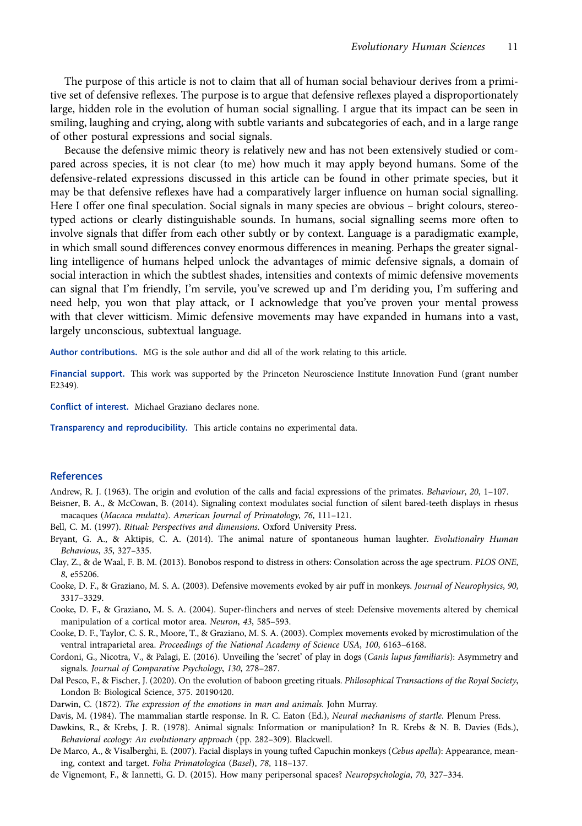<span id="page-10-0"></span>The purpose of this article is not to claim that all of human social behaviour derives from a primitive set of defensive reflexes. The purpose is to argue that defensive reflexes played a disproportionately large, hidden role in the evolution of human social signalling. I argue that its impact can be seen in smiling, laughing and crying, along with subtle variants and subcategories of each, and in a large range of other postural expressions and social signals.

Because the defensive mimic theory is relatively new and has not been extensively studied or compared across species, it is not clear (to me) how much it may apply beyond humans. Some of the defensive-related expressions discussed in this article can be found in other primate species, but it may be that defensive reflexes have had a comparatively larger influence on human social signalling. Here I offer one final speculation. Social signals in many species are obvious – bright colours, stereotyped actions or clearly distinguishable sounds. In humans, social signalling seems more often to involve signals that differ from each other subtly or by context. Language is a paradigmatic example, in which small sound differences convey enormous differences in meaning. Perhaps the greater signalling intelligence of humans helped unlock the advantages of mimic defensive signals, a domain of social interaction in which the subtlest shades, intensities and contexts of mimic defensive movements can signal that I'm friendly, I'm servile, you've screwed up and I'm deriding you, I'm suffering and need help, you won that play attack, or I acknowledge that you've proven your mental prowess with that clever witticism. Mimic defensive movements may have expanded in humans into a vast, largely unconscious, subtextual language.

Author contributions. MG is the sole author and did all of the work relating to this article.

Financial support. This work was supported by the Princeton Neuroscience Institute Innovation Fund (grant number E2349).

Conflict of interest. Michael Graziano declares none.

Transparency and reproducibility. This article contains no experimental data.

# References

Andrew, R. J. (1963). The origin and evolution of the calls and facial expressions of the primates. Behaviour, 20, 1–107.

Beisner, B. A., & McCowan, B. (2014). Signaling context modulates social function of silent bared-teeth displays in rhesus macaques (Macaca mulatta). American Journal of Primatology, 76, 111–121.

- Bell, C. M. (1997). Ritual: Perspectives and dimensions. Oxford University Press.
- Bryant, G. A., & Aktipis, C. A. (2014). The animal nature of spontaneous human laughter. Evolutionalry Human Behavious, 35, 327–335.
- Clay, Z., & de Waal, F. B. M. (2013). Bonobos respond to distress in others: Consolation across the age spectrum. PLOS ONE, 8, e55206.
- Cooke, D. F., & Graziano, M. S. A. (2003). Defensive movements evoked by air puff in monkeys. Journal of Neurophysics, 90, 3317–3329.
- Cooke, D. F., & Graziano, M. S. A. (2004). Super-flinchers and nerves of steel: Defensive movements altered by chemical manipulation of a cortical motor area. Neuron, 43, 585–593.
- Cooke, D. F., Taylor, C. S. R., Moore, T., & Graziano, M. S. A. (2003). Complex movements evoked by microstimulation of the ventral intraparietal area. Proceedings of the National Academy of Science USA, 100, 6163–6168.
- Cordoni, G., Nicotra, V., & Palagi, E. (2016). Unveiling the 'secret' of play in dogs (Canis lupus familiaris): Asymmetry and signals. Journal of Comparative Psychology, 130, 278–287.
- Dal Pesco, F., & Fischer, J. (2020). On the evolution of baboon greeting rituals. Philosophical Transactions of the Royal Society, London B: Biological Science, 375. 20190420.

Darwin, C. (1872). The expression of the emotions in man and animals. John Murray.

Davis, M. (1984). The mammalian startle response. In R. C. Eaton (Ed.), Neural mechanisms of startle. Plenum Press.

- Dawkins, R., & Krebs, J. R. (1978). Animal signals: Information or manipulation? In R. Krebs & N. B. Davies (Eds.), Behavioral ecology: An evolutionary approach (pp. 282–309). Blackwell.
- De Marco, A., & Visalberghi, E. (2007). Facial displays in young tufted Capuchin monkeys (Cebus apella): Appearance, meaning, context and target. Folia Primatologica (Basel), 78, 118–137.
- de Vignemont, F., & Iannetti, G. D. (2015). How many peripersonal spaces? Neuropsychologia, 70, 327–334.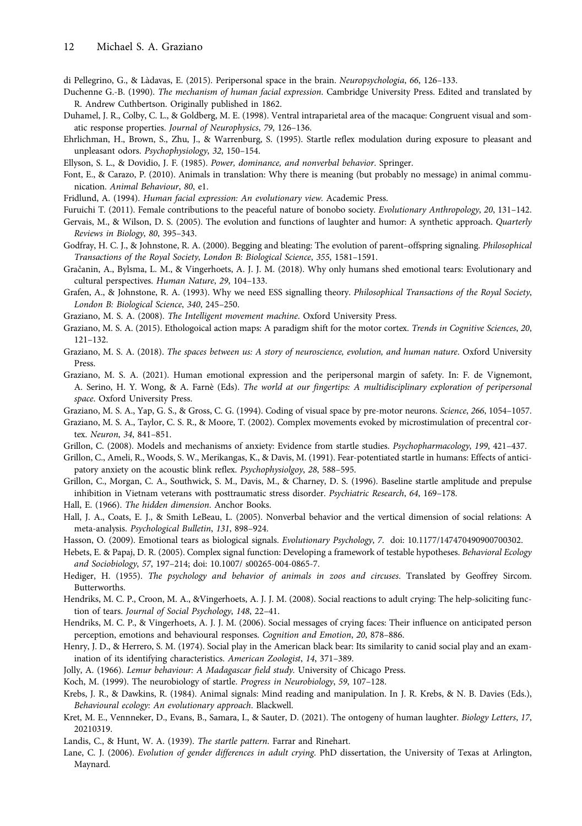<span id="page-11-0"></span>di Pellegrino, G., & Làdavas, E. (2015). Peripersonal space in the brain. Neuropsychologia, 66, 126–133.

- Duchenne G.-B. (1990). The mechanism of human facial expression. Cambridge University Press. Edited and translated by R. Andrew Cuthbertson. Originally published in 1862.
- Duhamel, J. R., Colby, C. L., & Goldberg, M. E. (1998). Ventral intraparietal area of the macaque: Congruent visual and somatic response properties. Journal of Neurophysics, 79, 126–136.
- Ehrlichman, H., Brown, S., Zhu, J., & Warrenburg, S. (1995). Startle reflex modulation during exposure to pleasant and unpleasant odors. Psychophysiology, 32, 150–154.
- Ellyson, S. L., & Dovidio, J. F. (1985). Power, dominance, and nonverbal behavior. Springer.
- Font, E., & Carazo, P. (2010). Animals in translation: Why there is meaning (but probably no message) in animal communication. Animal Behaviour, 80, e1.
- Fridlund, A. (1994). Human facial expression: An evolutionary view. Academic Press.
- Furuichi T. (2011). Female contributions to the peaceful nature of bonobo society. Evolutionary Anthropology, 20, 131–142.
- Gervais, M., & Wilson, D. S. (2005). The evolution and functions of laughter and humor: A synthetic approach. Quarterly Reviews in Biology, 80, 395–343.
- Godfray, H. C. J., & Johnstone, R. A. (2000). Begging and bleating: The evolution of parent–offspring signaling. Philosophical Transactions of the Royal Society, London B: Biological Science, 355, 1581–1591.
- Gračanin, A., Bylsma, L. M., & Vingerhoets, A. J. J. M. (2018). Why only humans shed emotional tears: Evolutionary and cultural perspectives. Human Nature, 29, 104–133.
- Grafen, A., & Johnstone, R. A. (1993). Why we need ESS signalling theory. Philosophical Transactions of the Royal Society, London B: Biological Science, 340, 245–250.
- Graziano, M. S. A. (2008). The Intelligent movement machine. Oxford University Press.
- Graziano, M. S. A. (2015). Ethologoical action maps: A paradigm shift for the motor cortex. Trends in Cognitive Sciences, 20, 121–132.
- Graziano, M. S. A. (2018). The spaces between us: A story of neuroscience, evolution, and human nature. Oxford University Press.
- Graziano, M. S. A. (2021). Human emotional expression and the peripersonal margin of safety. In: F. de Vignemont, A. Serino, H. Y. Wong, & A. Farnè (Eds). The world at our fingertips: A multidisciplinary exploration of peripersonal space. Oxford University Press.
- Graziano, M. S. A., Yap, G. S., & Gross, C. G. (1994). Coding of visual space by pre-motor neurons. Science, 266, 1054–1057.
- Graziano, M. S. A., Taylor, C. S. R., & Moore, T. (2002). Complex movements evoked by microstimulation of precentral cortex. Neuron, 34, 841–851.
- Grillon, C. (2008). Models and mechanisms of anxiety: Evidence from startle studies. Psychopharmacology, 199, 421–437.
- Grillon, C., Ameli, R., Woods, S. W., Merikangas, K., & Davis, M. (1991). Fear-potentiated startle in humans: Effects of anticipatory anxiety on the acoustic blink reflex. Psychophysiolgoy, 28, 588–595.
- Grillon, C., Morgan, C. A., Southwick, S. M., Davis, M., & Charney, D. S. (1996). Baseline startle amplitude and prepulse inhibition in Vietnam veterans with posttraumatic stress disorder. Psychiatric Research, 64, 169–178.
- Hall, E. (1966). The hidden dimension. Anchor Books.
- Hall, J. A., Coats, E. J., & Smith LeBeau, L. (2005). Nonverbal behavior and the vertical dimension of social relations: A meta-analysis. Psychological Bulletin, 131, 898–924.
- Hasson, O. (2009). Emotional tears as biological signals. Evolutionary Psychology, 7. doi: 10.1177/147470490900700302.
- Hebets, E. & Papaj, D. R. (2005). Complex signal function: Developing a framework of testable hypotheses. Behavioral Ecology and Sociobiology, 57, 197–214; doi: 10.1007/ s00265-004-0865-7.
- Hediger, H. (1955). The psychology and behavior of animals in zoos and circuses. Translated by Geoffrey Sircom. Butterworths.
- Hendriks, M. C. P., Croon, M. A., &Vingerhoets, A. J. J. M. (2008). Social reactions to adult crying: The help-soliciting function of tears. Journal of Social Psychology, 148, 22–41.
- Hendriks, M. C. P., & Vingerhoets, A. J. J. M. (2006). Social messages of crying faces: Their influence on anticipated person perception, emotions and behavioural responses. Cognition and Emotion, 20, 878–886.
- Henry, J. D., & Herrero, S. M. (1974). Social play in the American black bear: Its similarity to canid social play and an examination of its identifying characteristics. American Zoologist, 14, 371–389.
- Jolly, A. (1966). Lemur behaviour: A Madagascar field study. University of Chicago Press.
- Koch, M. (1999). The neurobiology of startle. Progress in Neurobiology, 59, 107–128.
- Krebs, J. R., & Dawkins, R. (1984). Animal signals: Mind reading and manipulation. In J. R. Krebs, & N. B. Davies (Eds.), Behavioural ecology: An evolutionary approach. Blackwell.
- Kret, M. E., Vennneker, D., Evans, B., Samara, I., & Sauter, D. (2021). The ontogeny of human laughter. Biology Letters, 17, 20210319.
- Landis, C., & Hunt, W. A. (1939). The startle pattern. Farrar and Rinehart.
- Lane, C. J. (2006). Evolution of gender differences in adult crying. PhD dissertation, the University of Texas at Arlington, Maynard.